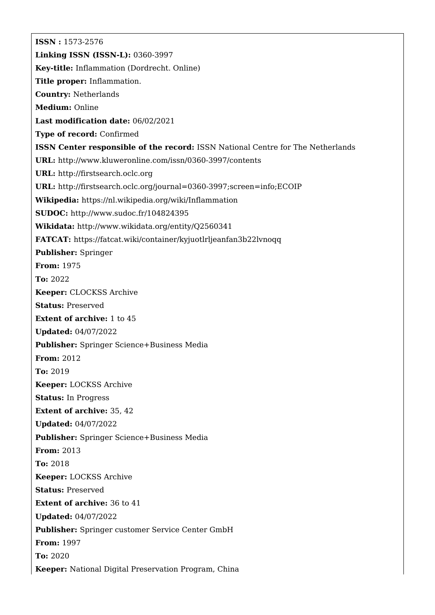**ISSN :** 1573-2576 **Linking ISSN (ISSN-L):** 0360-3997 **Key-title:** Inflammation (Dordrecht. Online) **Title proper:** Inflammation. **Country:** Netherlands **Medium:** Online **Last modification date:** 06/02/2021 **Type of record:** Confirmed **ISSN Center responsible of the record:** ISSN National Centre for The Netherlands **URL:** <http://www.kluweronline.com/issn/0360-3997/contents> **URL:** <http://firstsearch.oclc.org> **URL:** <http://firstsearch.oclc.org/journal=0360-3997;screen=info;ECOIP> **Wikipedia:** <https://nl.wikipedia.org/wiki/Inflammation> **SUDOC:** <http://www.sudoc.fr/104824395> **Wikidata:** <http://www.wikidata.org/entity/Q2560341> **FATCAT:** <https://fatcat.wiki/container/kyjuotlrljeanfan3b22lvnoqq> **Publisher:** Springer **From:** 1975 **To:** 2022 **Keeper:** CLOCKSS Archive **Status:** Preserved **Extent of archive:** 1 to 45 **Updated:** 04/07/2022 **Publisher:** Springer Science+Business Media **From:** 2012 **To:** 2019 **Keeper:** LOCKSS Archive **Status:** In Progress **Extent of archive:** 35, 42 **Updated:** 04/07/2022 **Publisher:** Springer Science+Business Media **From:** 2013 **To:** 2018 **Keeper:** LOCKSS Archive **Status:** Preserved **Extent of archive:** 36 to 41 **Updated:** 04/07/2022 **Publisher:** Springer customer Service Center GmbH **From:** 1997 **To:** 2020 **Keeper:** National Digital Preservation Program, China